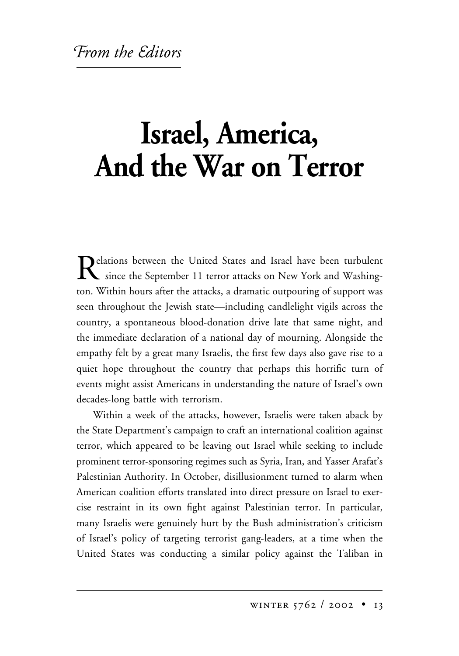## **Israel, America, And the War on Terror**

Relations between the United States and Israel have been turbulent<br>since the September 11 terror attacks on New York and Washington. Within hours after the attacks, a dramatic outpouring of support was seen throughout the Jewish state—including candlelight vigils across the country, a spontaneous blood-donation drive late that same night, and the immediate declaration of a national day of mourning. Alongside the empathy felt by a great many Israelis, the first few days also gave rise to a quiet hope throughout the country that perhaps this horrific turn of events might assist Americans in understanding the nature of Israel's own decades-long battle with terrorism.

Within a week of the attacks, however, Israelis were taken aback by the State Department's campaign to craft an international coalition against terror, which appeared to be leaving out Israel while seeking to include prominent terror-sponsoring regimes such as Syria, Iran, and Yasser Arafat's Palestinian Authority. In October, disillusionment turned to alarm when American coalition efforts translated into direct pressure on Israel to exercise restraint in its own fight against Palestinian terror. In particular, many Israelis were genuinely hurt by the Bush administration's criticism of Israel's policy of targeting terrorist gang-leaders, at a time when the United States was conducting a similar policy against the Taliban in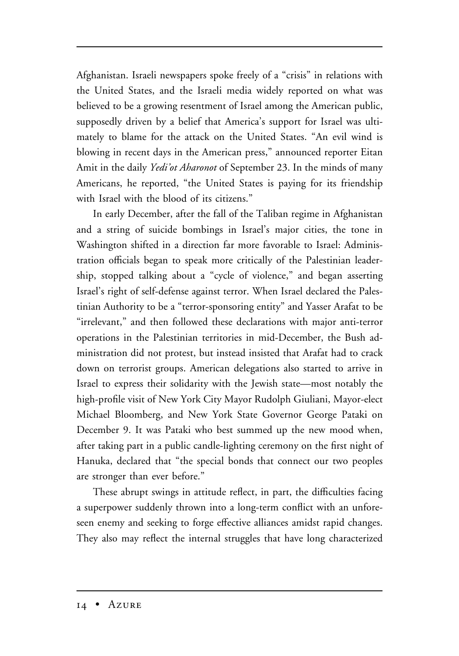Afghanistan. Israeli newspapers spoke freely of a "crisis" in relations with the United States, and the Israeli media widely reported on what was believed to be a growing resentment of Israel among the American public, supposedly driven by a belief that America's support for Israel was ultimately to blame for the attack on the United States. "An evil wind is blowing in recent days in the American press," announced reporter Eitan Amit in the daily *Yedi'ot Aharonot* of September 23. In the minds of many Americans, he reported, "the United States is paying for its friendship with Israel with the blood of its citizens."

In early December, after the fall of the Taliban regime in Afghanistan and a string of suicide bombings in Israel's major cities, the tone in Washington shifted in a direction far more favorable to Israel: Administration officials began to speak more critically of the Palestinian leadership, stopped talking about a "cycle of violence," and began asserting Israel's right of self-defense against terror. When Israel declared the Palestinian Authority to be a "terror-sponsoring entity" and Yasser Arafat to be "irrelevant," and then followed these declarations with major anti-terror operations in the Palestinian territories in mid-December, the Bush administration did not protest, but instead insisted that Arafat had to crack down on terrorist groups. American delegations also started to arrive in Israel to express their solidarity with the Jewish state—most notably the high-profile visit of New York City Mayor Rudolph Giuliani, Mayor-elect Michael Bloomberg, and New York State Governor George Pataki on December 9. It was Pataki who best summed up the new mood when, after taking part in a public candle-lighting ceremony on the first night of Hanuka, declared that "the special bonds that connect our two peoples are stronger than ever before."

These abrupt swings in attitude reflect, in part, the difficulties facing a superpower suddenly thrown into a long-term conflict with an unforeseen enemy and seeking to forge effective alliances amidst rapid changes. They also may reflect the internal struggles that have long characterized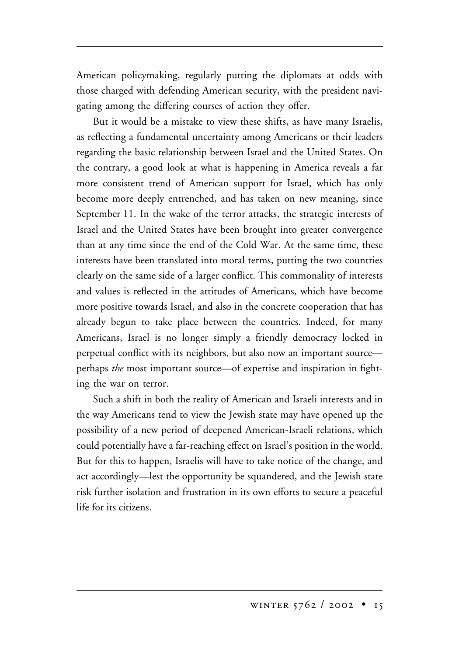American policymaking, regularly putting the diplomats at odds with those charged with defending American security, with the president navigating among the differing courses of action they offer.

But it would be a mistake to view these shifts, as have many Israelis, as reflecting a fundamental uncertainty among Americans or their leaders regarding the basic relationship between Israel and the United States. On the contrary, a good look at what is happening in America reveals a far more consistent trend of American support for Israel, which has only become more deeply entrenched, and has taken on new meaning, since September 11. In the wake of the terror attacks, the strategic interests of Israel and the United States have been brought into greater convergence than at any time since the end of the Cold War. At the same time, these interests have been translated into moral terms, putting the two countries clearly on the same side of a larger conflict. This commonality of interests and values is reflected in the attitudes of Americans, which have become more positive towards Israel, and also in the concrete cooperation that has already begun to take place between the countries. Indeed, for many Americans, Israel is no longer simply a friendly democracy locked in perpetual conflict with its neighbors, but also now an important source perhaps *the* most important source—of expertise and inspiration in fighting the war on terror.

Such a shift in both the reality of American and Israeli interests and in the way Americans tend to view the Jewish state may have opened up the possibility of a new period of deepened American-Israeli relations, which could potentially have a far-reaching effect on Israel's position in the world. But for this to happen, Israelis will have to take notice of the change, and act accordingly—lest the opportunity be squandered, and the Jewish state risk further isolation and frustration in its own efforts to secure a peaceful life for its citizens.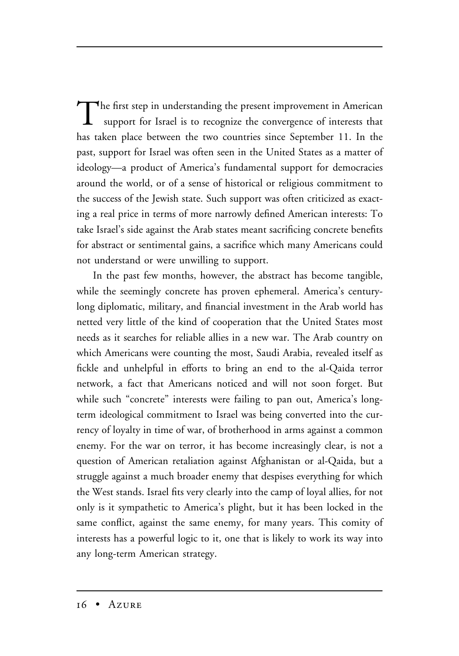The first step in understanding the present improvement in American support for Israel is to recognize the convergence of interests that has taken place between the two countries since September 11. In the past, support for Israel was often seen in the United States as a matter of ideology—a product of America's fundamental support for democracies around the world, or of a sense of historical or religious commitment to the success of the Jewish state. Such support was often criticized as exacting a real price in terms of more narrowly defined American interests: To take Israel's side against the Arab states meant sacrificing concrete benefits for abstract or sentimental gains, a sacrifice which many Americans could not understand or were unwilling to support.

In the past few months, however, the abstract has become tangible, while the seemingly concrete has proven ephemeral. America's centurylong diplomatic, military, and financial investment in the Arab world has netted very little of the kind of cooperation that the United States most needs as it searches for reliable allies in a new war. The Arab country on which Americans were counting the most, Saudi Arabia, revealed itself as fickle and unhelpful in efforts to bring an end to the al-Qaida terror network, a fact that Americans noticed and will not soon forget. But while such "concrete" interests were failing to pan out, America's longterm ideological commitment to Israel was being converted into the currency of loyalty in time of war, of brotherhood in arms against a common enemy. For the war on terror, it has become increasingly clear, is not a question of American retaliation against Afghanistan or al-Qaida, but a struggle against a much broader enemy that despises everything for which the West stands. Israel fits very clearly into the camp of loyal allies, for not only is it sympathetic to America's plight, but it has been locked in the same conflict, against the same enemy, for many years. This comity of interests has a powerful logic to it, one that is likely to work its way into any long-term American strategy.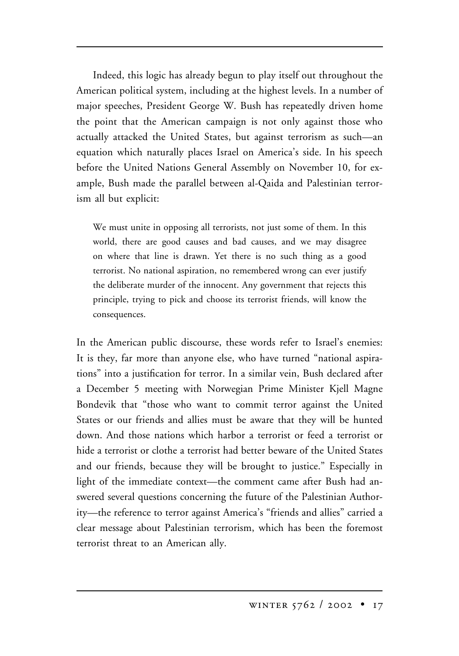Indeed, this logic has already begun to play itself out throughout the American political system, including at the highest levels. In a number of major speeches, President George W. Bush has repeatedly driven home the point that the American campaign is not only against those who actually attacked the United States, but against terrorism as such—an equation which naturally places Israel on America's side. In his speech before the United Nations General Assembly on November 10, for example, Bush made the parallel between al-Qaida and Palestinian terrorism all but explicit:

We must unite in opposing all terrorists, not just some of them. In this world, there are good causes and bad causes, and we may disagree on where that line is drawn. Yet there is no such thing as a good terrorist. No national aspiration, no remembered wrong can ever justify the deliberate murder of the innocent. Any government that rejects this principle, trying to pick and choose its terrorist friends, will know the consequences.

In the American public discourse, these words refer to Israel's enemies: It is they, far more than anyone else, who have turned "national aspirations" into a justification for terror. In a similar vein, Bush declared after a December 5 meeting with Norwegian Prime Minister Kjell Magne Bondevik that "those who want to commit terror against the United States or our friends and allies must be aware that they will be hunted down. And those nations which harbor a terrorist or feed a terrorist or hide a terrorist or clothe a terrorist had better beware of the United States and our friends, because they will be brought to justice." Especially in light of the immediate context—the comment came after Bush had answered several questions concerning the future of the Palestinian Authority—the reference to terror against America's "friends and allies" carried a clear message about Palestinian terrorism, which has been the foremost terrorist threat to an American ally.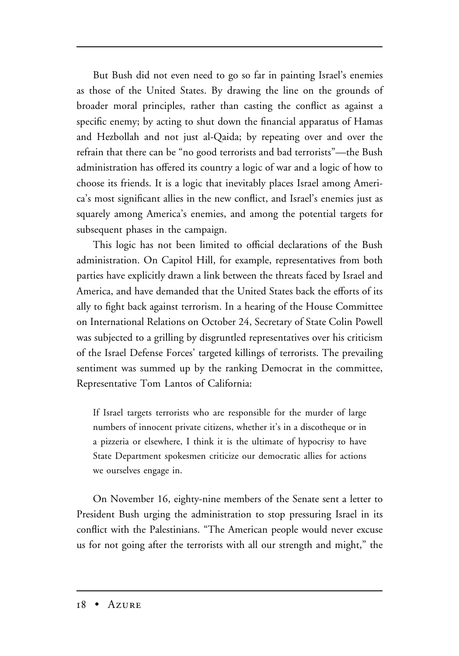But Bush did not even need to go so far in painting Israel's enemies as those of the United States. By drawing the line on the grounds of broader moral principles, rather than casting the conflict as against a specific enemy; by acting to shut down the financial apparatus of Hamas and Hezbollah and not just al-Qaida; by repeating over and over the refrain that there can be "no good terrorists and bad terrorists"—the Bush administration has offered its country a logic of war and a logic of how to choose its friends. It is a logic that inevitably places Israel among America's most significant allies in the new conflict, and Israel's enemies just as squarely among America's enemies, and among the potential targets for subsequent phases in the campaign.

This logic has not been limited to official declarations of the Bush administration. On Capitol Hill, for example, representatives from both parties have explicitly drawn a link between the threats faced by Israel and America, and have demanded that the United States back the efforts of its ally to fight back against terrorism. In a hearing of the House Committee on International Relations on October 24, Secretary of State Colin Powell was subjected to a grilling by disgruntled representatives over his criticism of the Israel Defense Forces' targeted killings of terrorists. The prevailing sentiment was summed up by the ranking Democrat in the committee, Representative Tom Lantos of California:

If Israel targets terrorists who are responsible for the murder of large numbers of innocent private citizens, whether it's in a discotheque or in a pizzeria or elsewhere, I think it is the ultimate of hypocrisy to have State Department spokesmen criticize our democratic allies for actions we ourselves engage in.

On November 16, eighty-nine members of the Senate sent a letter to President Bush urging the administration to stop pressuring Israel in its conflict with the Palestinians. "The American people would never excuse us for not going after the terrorists with all our strength and might," the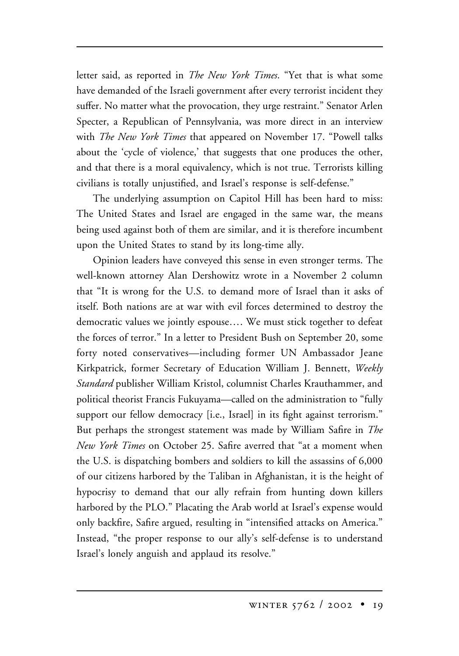letter said, as reported in *The New York Times*. "Yet that is what some have demanded of the Israeli government after every terrorist incident they suffer. No matter what the provocation, they urge restraint." Senator Arlen Specter, a Republican of Pennsylvania, was more direct in an interview with *The New York Times* that appeared on November 17. "Powell talks about the 'cycle of violence,' that suggests that one produces the other, and that there is a moral equivalency, which is not true. Terrorists killing civilians is totally unjustified, and Israel's response is self-defense."

The underlying assumption on Capitol Hill has been hard to miss: The United States and Israel are engaged in the same war, the means being used against both of them are similar, and it is therefore incumbent upon the United States to stand by its long-time ally.

Opinion leaders have conveyed this sense in even stronger terms. The well-known attorney Alan Dershowitz wrote in a November 2 column that "It is wrong for the U.S. to demand more of Israel than it asks of itself. Both nations are at war with evil forces determined to destroy the democratic values we jointly espouse…. We must stick together to defeat the forces of terror." In a letter to President Bush on September 20, some forty noted conservatives—including former UN Ambassador Jeane Kirkpatrick, former Secretary of Education William J. Bennett, *Weekly Standard* publisher William Kristol, columnist Charles Krauthammer, and political theorist Francis Fukuyama—called on the administration to "fully support our fellow democracy [i.e., Israel] in its fight against terrorism." But perhaps the strongest statement was made by William Safire in *The New York Times* on October 25. Safire averred that "at a moment when the U.S. is dispatching bombers and soldiers to kill the assassins of 6,000 of our citizens harbored by the Taliban in Afghanistan, it is the height of hypocrisy to demand that our ally refrain from hunting down killers harbored by the PLO." Placating the Arab world at Israel's expense would only backfire, Safire argued, resulting in "intensified attacks on America." Instead, "the proper response to our ally's self-defense is to understand Israel's lonely anguish and applaud its resolve."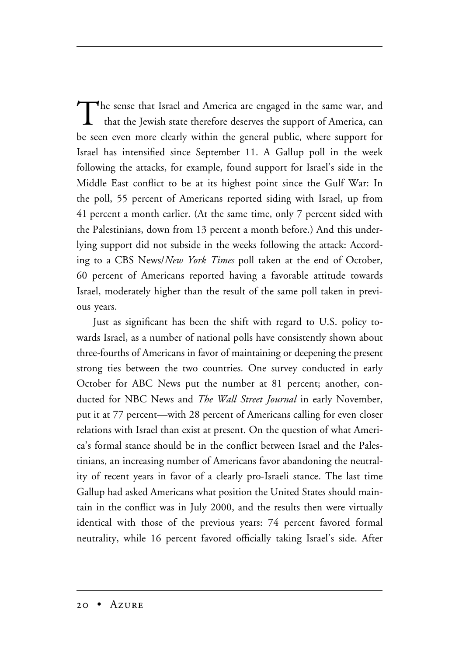The sense that Israel and America are engaged in the same war, and that the Jewish state therefore deserves the support of America, can be seen even more clearly within the general public, where support for Israel has intensified since September 11. A Gallup poll in the week following the attacks, for example, found support for Israel's side in the Middle East conflict to be at its highest point since the Gulf War: In the poll, 55 percent of Americans reported siding with Israel, up from 41 percent a month earlier. (At the same time, only 7 percent sided with the Palestinians, down from 13 percent a month before.) And this underlying support did not subside in the weeks following the attack: According to a CBS News/*New York Times* poll taken at the end of October, 60 percent of Americans reported having a favorable attitude towards Israel, moderately higher than the result of the same poll taken in previous years.

Just as significant has been the shift with regard to U.S. policy towards Israel, as a number of national polls have consistently shown about three-fourths of Americans in favor of maintaining or deepening the present strong ties between the two countries. One survey conducted in early October for ABC News put the number at 81 percent; another, conducted for NBC News and *The Wall Street Journal* in early November, put it at 77 percent—with 28 percent of Americans calling for even closer relations with Israel than exist at present. On the question of what America's formal stance should be in the conflict between Israel and the Palestinians, an increasing number of Americans favor abandoning the neutrality of recent years in favor of a clearly pro-Israeli stance. The last time Gallup had asked Americans what position the United States should maintain in the conflict was in July 2000, and the results then were virtually identical with those of the previous years: 74 percent favored formal neutrality, while 16 percent favored officially taking Israel's side. After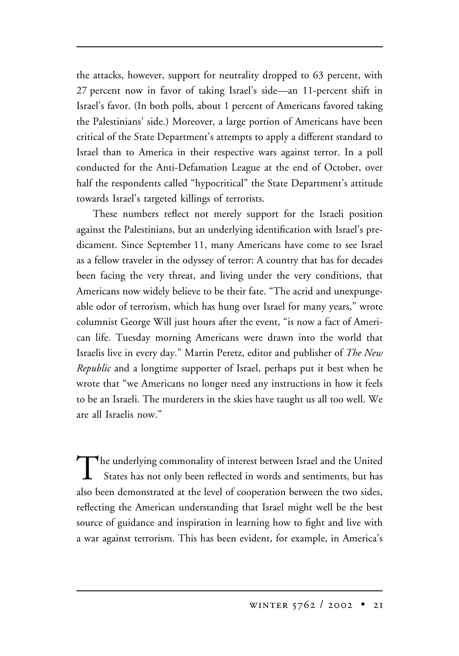the attacks, however, support for neutrality dropped to 63 percent, with 27 percent now in favor of taking Israel's side—an 11-percent shift in Israel's favor. (In both polls, about 1 percent of Americans favored taking the Palestinians' side.) Moreover, a large portion of Americans have been critical of the State Department's attempts to apply a different standard to Israel than to America in their respective wars against terror. In a poll conducted for the Anti-Defamation League at the end of October, over half the respondents called "hypocritical" the State Department's attitude towards Israel's targeted killings of terrorists.

These numbers reflect not merely support for the Israeli position against the Palestinians, but an underlying identification with Israel's predicament. Since September 11, many Americans have come to see Israel as a fellow traveler in the odyssey of terror: A country that has for decades been facing the very threat, and living under the very conditions, that Americans now widely believe to be their fate. "The acrid and unexpungeable odor of terrorism, which has hung over Israel for many years," wrote columnist George Will just hours after the event, "is now a fact of American life. Tuesday morning Americans were drawn into the world that Israelis live in every day." Martin Peretz, editor and publisher of *The New Republic* and a longtime supporter of Israel, perhaps put it best when he wrote that "we Americans no longer need any instructions in how it feels to be an Israeli. The murderers in the skies have taught us all too well. We are all Israelis now."

 $\blacktriangle$  the underlying commonality of interest between Israel and the United States has not only been reflected in words and sentiments, but has also been demonstrated at the level of cooperation between the two sides, reflecting the American understanding that Israel might well be the best source of guidance and inspiration in learning how to fight and live with a war against terrorism. This has been evident, for example, in America's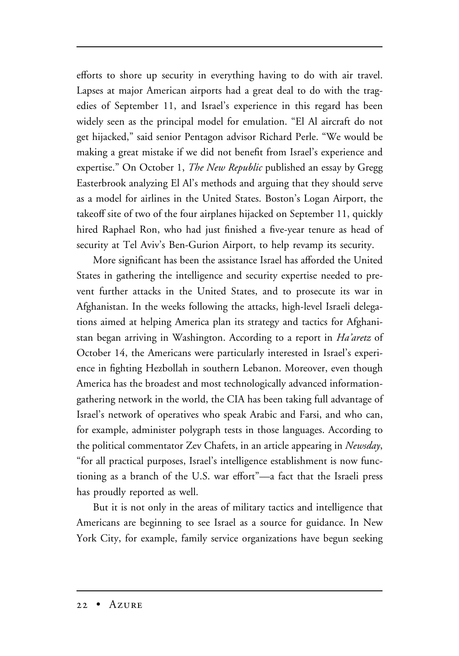efforts to shore up security in everything having to do with air travel. Lapses at major American airports had a great deal to do with the tragedies of September 11, and Israel's experience in this regard has been widely seen as the principal model for emulation. "El Al aircraft do not get hijacked," said senior Pentagon advisor Richard Perle. "We would be making a great mistake if we did not benefit from Israel's experience and expertise." On October 1, *The New Republic* published an essay by Gregg Easterbrook analyzing El Al's methods and arguing that they should serve as a model for airlines in the United States. Boston's Logan Airport, the takeoff site of two of the four airplanes hijacked on September 11, quickly hired Raphael Ron, who had just finished a five-year tenure as head of security at Tel Aviv's Ben-Gurion Airport, to help revamp its security.

More significant has been the assistance Israel has afforded the United States in gathering the intelligence and security expertise needed to prevent further attacks in the United States, and to prosecute its war in Afghanistan. In the weeks following the attacks, high-level Israeli delegations aimed at helping America plan its strategy and tactics for Afghanistan began arriving in Washington. According to a report in *Ha'aretz* of October 14, the Americans were particularly interested in Israel's experience in fighting Hezbollah in southern Lebanon. Moreover, even though America has the broadest and most technologically advanced informationgathering network in the world, the CIA has been taking full advantage of Israel's network of operatives who speak Arabic and Farsi, and who can, for example, administer polygraph tests in those languages. According to the political commentator Zev Chafets, in an article appearing in *Newsday*, "for all practical purposes, Israel's intelligence establishment is now functioning as a branch of the U.S. war effort"—a fact that the Israeli press has proudly reported as well.

But it is not only in the areas of military tactics and intelligence that Americans are beginning to see Israel as a source for guidance. In New York City, for example, family service organizations have begun seeking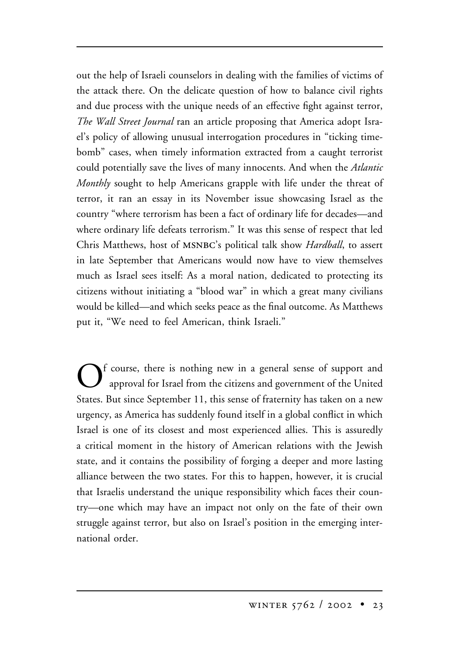out the help of Israeli counselors in dealing with the families of victims of the attack there. On the delicate question of how to balance civil rights and due process with the unique needs of an effective fight against terror, *The Wall Street Journal* ran an article proposing that America adopt Israel's policy of allowing unusual interrogation procedures in "ticking timebomb" cases, when timely information extracted from a caught terrorist could potentially save the lives of many innocents. And when the *Atlantic Monthly* sought to help Americans grapple with life under the threat of terror, it ran an essay in its November issue showcasing Israel as the country "where terrorism has been a fact of ordinary life for decades—and where ordinary life defeats terrorism." It was this sense of respect that led Chris Matthews, host of msnbc's political talk show *Hardball*, to assert in late September that Americans would now have to view themselves much as Israel sees itself: As a moral nation, dedicated to protecting its citizens without initiating a "blood war" in which a great many civilians would be killed—and which seeks peace as the final outcome. As Matthews put it, "We need to feel American, think Israeli."

Of course, there is nothing new in a general sense of support and approval for Israel from the citizens and government of the United States. But since September 11, this sense of fraternity has taken on a new urgency, as America has suddenly found itself in a global conflict in which Israel is one of its closest and most experienced allies. This is assuredly a critical moment in the history of American relations with the Jewish state, and it contains the possibility of forging a deeper and more lasting alliance between the two states. For this to happen, however, it is crucial that Israelis understand the unique responsibility which faces their country—one which may have an impact not only on the fate of their own struggle against terror, but also on Israel's position in the emerging international order.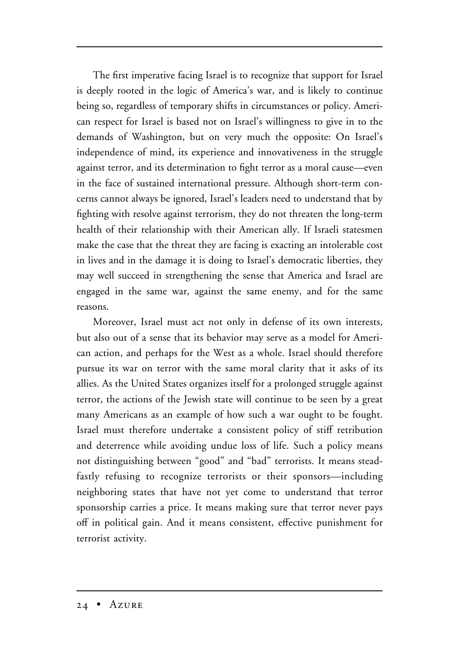The first imperative facing Israel is to recognize that support for Israel is deeply rooted in the logic of America's war, and is likely to continue being so, regardless of temporary shifts in circumstances or policy. American respect for Israel is based not on Israel's willingness to give in to the demands of Washington, but on very much the opposite: On Israel's independence of mind, its experience and innovativeness in the struggle against terror, and its determination to fight terror as a moral cause—even in the face of sustained international pressure. Although short-term concerns cannot always be ignored, Israel's leaders need to understand that by fighting with resolve against terrorism, they do not threaten the long-term health of their relationship with their American ally. If Israeli statesmen make the case that the threat they are facing is exacting an intolerable cost in lives and in the damage it is doing to Israel's democratic liberties, they may well succeed in strengthening the sense that America and Israel are engaged in the same war, against the same enemy, and for the same reasons.

Moreover, Israel must act not only in defense of its own interests, but also out of a sense that its behavior may serve as a model for American action, and perhaps for the West as a whole. Israel should therefore pursue its war on terror with the same moral clarity that it asks of its allies. As the United States organizes itself for a prolonged struggle against terror, the actions of the Jewish state will continue to be seen by a great many Americans as an example of how such a war ought to be fought. Israel must therefore undertake a consistent policy of stiff retribution and deterrence while avoiding undue loss of life. Such a policy means not distinguishing between "good" and "bad" terrorists. It means steadfastly refusing to recognize terrorists or their sponsors—including neighboring states that have not yet come to understand that terror sponsorship carries a price. It means making sure that terror never pays off in political gain. And it means consistent, effective punishment for terrorist activity.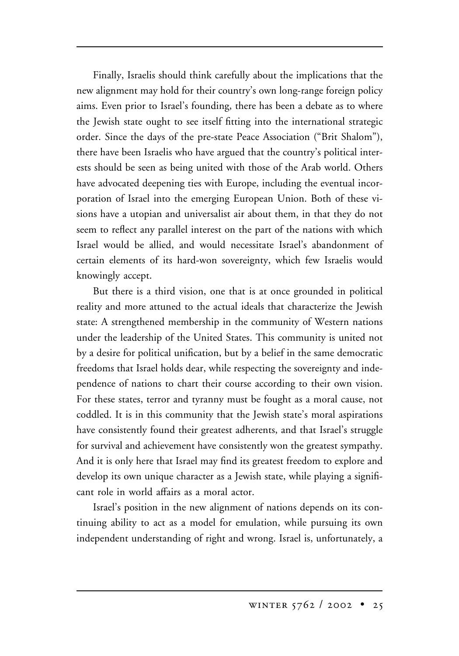Finally, Israelis should think carefully about the implications that the new alignment may hold for their country's own long-range foreign policy aims. Even prior to Israel's founding, there has been a debate as to where the Jewish state ought to see itself fitting into the international strategic order. Since the days of the pre-state Peace Association ("Brit Shalom"), there have been Israelis who have argued that the country's political interests should be seen as being united with those of the Arab world. Others have advocated deepening ties with Europe, including the eventual incorporation of Israel into the emerging European Union. Both of these visions have a utopian and universalist air about them, in that they do not seem to reflect any parallel interest on the part of the nations with which Israel would be allied, and would necessitate Israel's abandonment of certain elements of its hard-won sovereignty, which few Israelis would knowingly accept.

But there is a third vision, one that is at once grounded in political reality and more attuned to the actual ideals that characterize the Jewish state: A strengthened membership in the community of Western nations under the leadership of the United States. This community is united not by a desire for political unification, but by a belief in the same democratic freedoms that Israel holds dear, while respecting the sovereignty and independence of nations to chart their course according to their own vision. For these states, terror and tyranny must be fought as a moral cause, not coddled. It is in this community that the Jewish state's moral aspirations have consistently found their greatest adherents, and that Israel's struggle for survival and achievement have consistently won the greatest sympathy. And it is only here that Israel may find its greatest freedom to explore and develop its own unique character as a Jewish state, while playing a significant role in world affairs as a moral actor.

Israel's position in the new alignment of nations depends on its continuing ability to act as a model for emulation, while pursuing its own independent understanding of right and wrong. Israel is, unfortunately, a